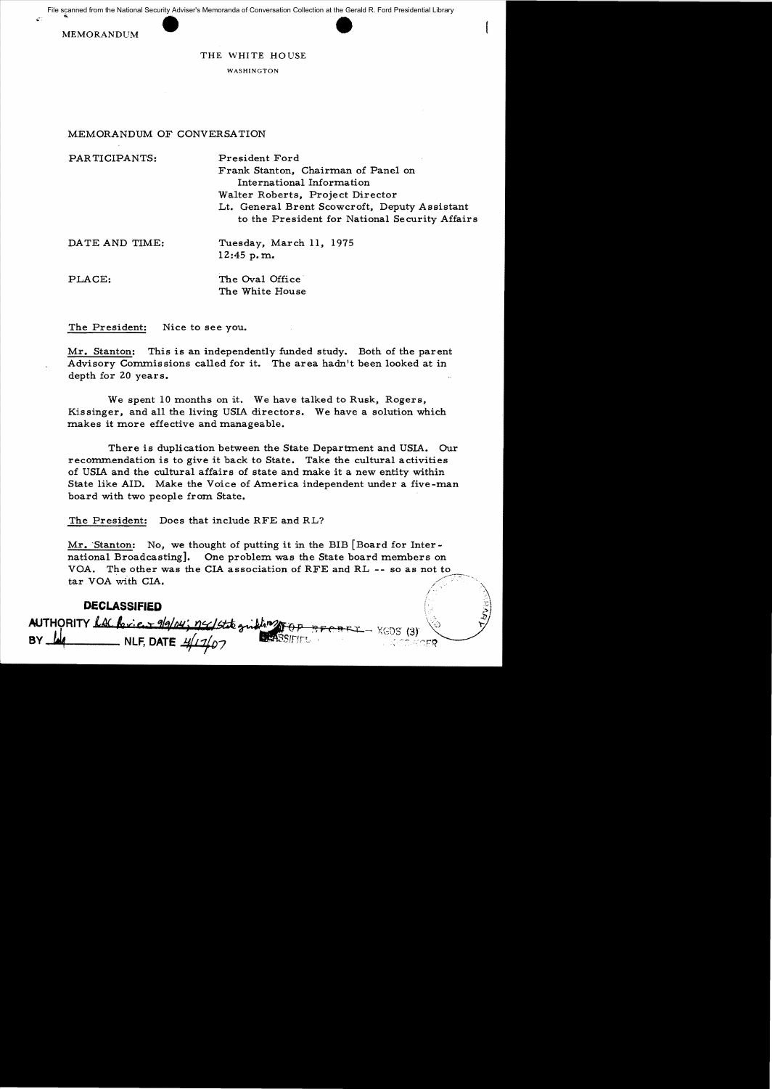MEMORANDUM

## THE WHITE HOUSE

WASHINGTON

## MEMORANDUM OF CONVERSATION

PARTICIPANTS: President Ford

Frank. Stanton, Chairman of Panel on International Information Walter Roberts, Project Director Lt. General Brent Scowcroft, Deputy Assistant to the President for National Security Affairs

DATE AND TIME: Tuesday, March 11, 1975 12:45 p.m.

PLACE: The Oval Office The White House

The President: Nice to see you.

Mr. Stanton: This is an independently funded study. Both of the parent Advisory Commissions called for it. The area hadn't been looked at in depth for 20 years.

We spent 10 months on it. We have talked to Rusk, Rogers, Kissinger, and all the living USIA directors. We have a solution which makes it more effective and manageable.

There is duplication between the State Department and USIA. Our recommendation is to give it back to State. Take the cultural activities of USIA and the cultural affairs of state and make it a new entity within State like AID. Make the Voice of America independent under a five-man board with two people from State.

The President: Does that include RFE and RL?

Mr. 'Stanton: No, we thought of putting it in the BIB [Board for International Broadcasting]. One problem was the State board members on VOA. The other was the CIA association of RFE and RL -- so as not to Mr. Stanton: No, we thought of putting it in the BIB [Board for Inter-<br>national Broadcasting]. One problem was the State board members on<br>VOA. The other was the CIA association of RFE and RL -- so as not to<br>tar VOA with CI

## DECLASSIFIED **AUTHORITY** ,.«. &,,: **e..:r** *'l/.1/***Wj** YJ~~ - ."-~}~.~. ." .... '. ' . "".'. . \~;'2); , I. ~. ".". - XGD" (3) **BY .f4II4 NlF, DATE** #7 .qSJrn-~.,· . : .':-: .'~r.~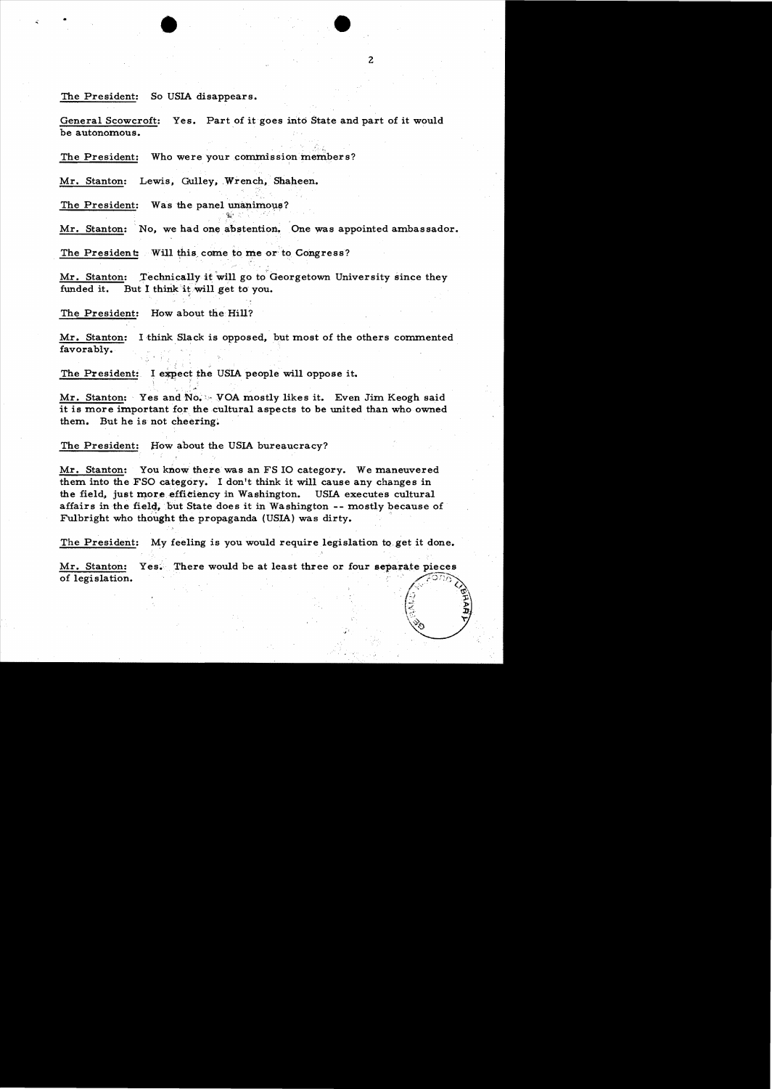## The President: So USIA disappears.

..

General Scowcroft: Yes. Part of it goes into State and part of it would be autonomous.

2

 $\mathbb{R}$  ,  $\mathbb{B}$ 

'~~

**₩** ~,

The President: Who were your commission members?

Mr. Stanton: Lewis, Gulley, Wrench, Shaheen.

The President: Was the panel unanimous?

 $Mr.$  Stanton:  $No$ , we had one abstention. One was appointed ambassador.

The President: Will this come to me or to Congress?

Mr. Stanton: Technically it will go to Georgetown University since they funded it. But I think it will get to you.

The President: How about the Hill?

 $Mr.$  Stanton: I think Slack is opposed, but most of the others commented favorably.

The President: I expect the USIA people will oppose it.

Mr. Stanton: Yes and No. : VOA mostly likes it. Even Jim Keogh said it is more important for the cultural aspects to be united than who owned them. But he is not cheering.

The President: How about the USIA bureaucracy?

Mr. Stanton: You know there was an FS 10 category. We maneuvered them into theFSO category; I don't think it will cause any changes in the field, just more efficiency in Washington. USIA executes cultural affairs in the field, but State does it in Washington -- mostly because of Fulbright who thought the propaganda (USIA) was dirty.

The President: My feeling is you would require legislation to get it done.

Mr. Stanton: Yes. There would be at least three or four separate pieces of legislation.  $\mathscr{C}$  ','  $\mathscr{C}$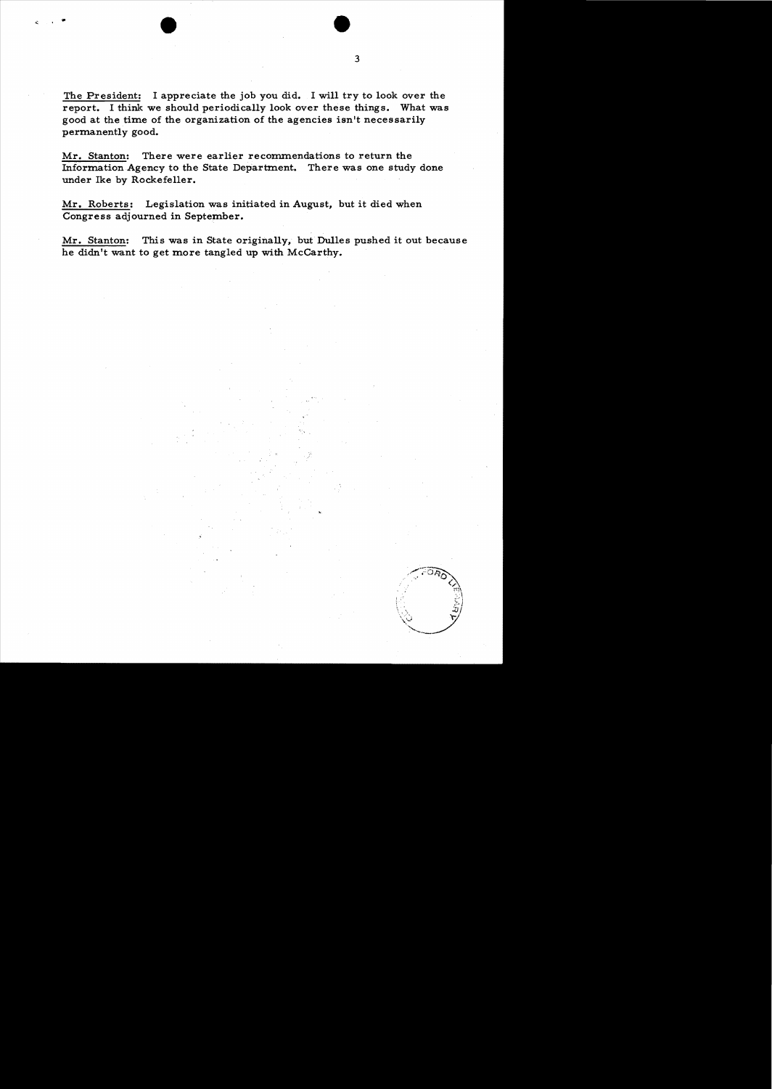3

The President: I appreciate the job you did. I will try to look over the report. I think we should periodically look over these things. What was good at the time of the organization of the agencies isn't necessarily permanently good.

Mr. Stanton: There were earlier recommendations to return the Information Agency to the State Department. There was one study done under Ike by Rockefeller.

Mr. Roberts: Legislation was initiated in August, but it died when Congress adjourned in September.

Mr. Stanton: This was in State originally, but Dulles pushed it out because he didn't want to get more tangled up with McCarthy.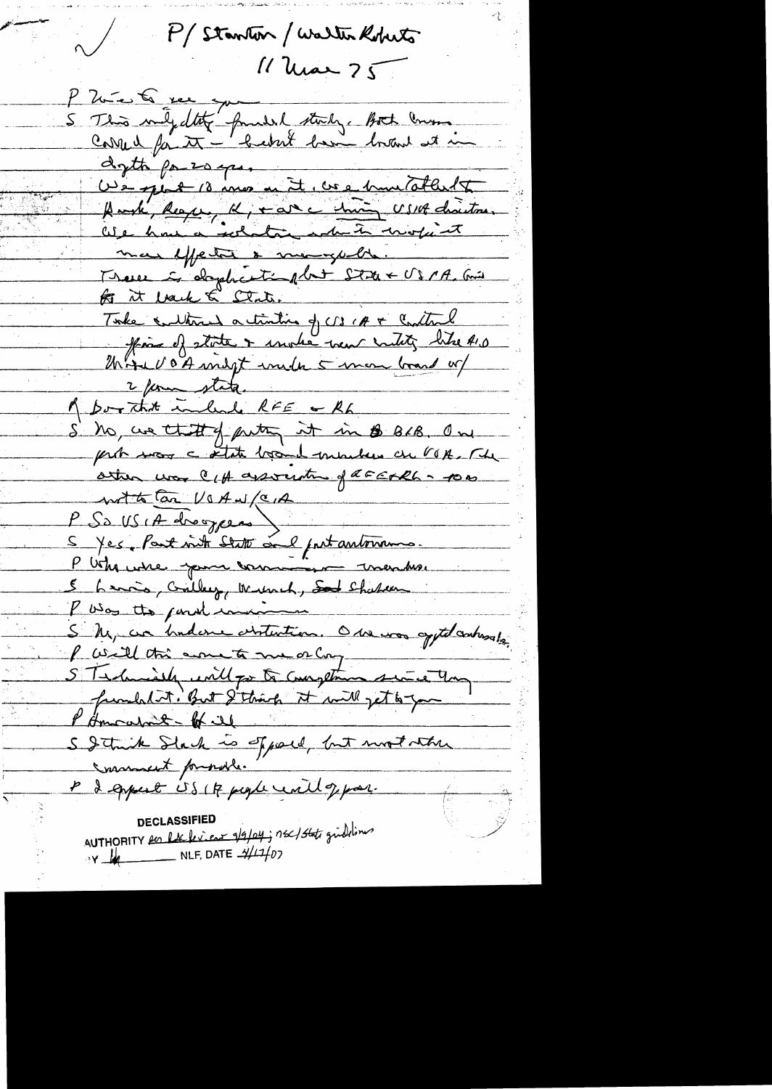P/ Stanton / Walter Roberts  $\sim$  $11$  Usex  $25$ P 2000 C voe en meure stock, Bot Comm.<br>5 This metydtote fandel stock, Bot Comm. dotte for 20 pp. Ausk, Regge, K, care ching USIG charitme. We have a solution admit motiot ma effecte a mondelle. True is double ti plut Strux VS/A, mi for it back & State. Toke contains activities of CS CA + Control from of state & unale went entity like AID 21 roll 0 A magt inde 5 mon board or 2 form state. Jorthit include RFE & Rh S No, we that of putting it in \$ BXB, One prot was a state became members on VOR. The other was CIA association of accorde-pow with tar VSAN/CA P. S.a. US (A droggers) S Yes, Part with State and part antonnume. P Who were your commission trender 5 harris, Callery, Munch, Sad Shaheen P was the parad ramme S M, ca hadame attention. One was apptelantessale. P will this amet me or Coy S Technicaly unill par to comptant sur la you P Amount - of il S Stuck Stack is offered, but motation monarcit formable. P & expect US IR people unit of par. **DECLASSIFIED** AUTHORITY Res RAC levieux 1/9/04; nsc/stati guidelines  $\frac{1}{2}Y$  MLF, DATE  $\frac{1}{4}1767$